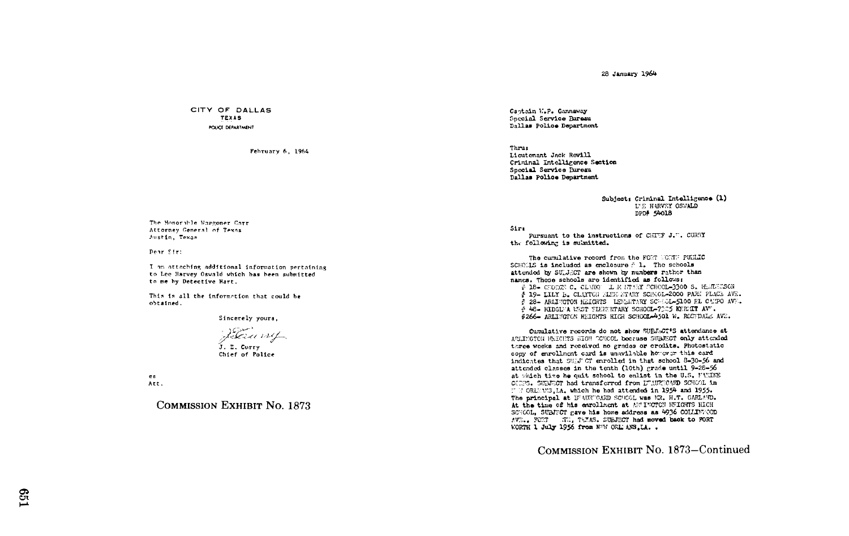28 January 1964

CITY OF DALLAS **TEXAS POLICE DEPARTMENT** 

February 6, 1964

The Honorible Waggoner Carr Attorney General of Texas Austin, Texas

Dear Sir:

I am attaching additional information pertaining to Lee Harvey Oswald which has been submitted to me by Detective Hart.

This is all the information that could be obtained.

Sincerely yours.

Raumy .<br>J. E. Curry Chief of Police

es Att.

**COMMISSION EXHIBIT NO. 1873** 

Captain W.P. Gannaway Special Service Bureau Dallas Police Department

Thrus Lioutenant Jack Revill Criminal Intelligence Section Special Service Bureau Dallas Police Department

> Subject: Criminal Intelligence (1) L'E HARVEY OSWALD DPD# 54018

Sire

Pursuant to the instructions of CHTEF J.E. CURRY the following is submitted.

The cumulative record from the FORT NORTH PUBLIC SCHOULS is included as enclosure  $\hat{r}$  1. The schools attended by SULJECT are shown by numbers rather than names. These schools are identified as follows:

# 18- CHORGY C. CLARKY L K NTARY SCHOOL-3300 S. HEMERISON § 19- LILY B. CLAYTON MING STARY SCHOOL-2000 PARK PLACE AVE. # 28- ARLINGTON HEIGHTS LENGRARY SCHOL-5100 EL CANPO AVE. 4 48- RIDGETA WEST TIENTRITARY SCHOOL-7005 KERMIT AVT. \$266- ARLINGTON HEIGHTS HIGH SCHOOL-4501 W. ROSTDALE AVE.

Cumulative records do not show SUBJ.CT'S attendance at APLINGTON NEIGHTS WIGH CONCOL because SUBJECT only attended three weeks and received no grades or credits. Photostatic copy of enrollment card is unavilable however this card indicates that SULJ OT enrolled in that school 8-30-56 and attended classes in the tenth (10th) grade until 9-28-56 at which time he quit school to enlist in the U.S. FULNE CORPS. SURFICT had transferred from LURECAND SCHOOL in IT MORLEWS. LA. which he had attended in 1954 and 1955. The principal at UFAURTOAND SCHOOL was MR. H.T. GARLAND. At the time of his enrollment at ANTINGTON HEIGHTS HIGH SCHOOL. SUBJUCT gave his home address as 4936 COLLINUOD AVE., FORT ATL, TELLS. SUBJECT had moved back to FORT WORTH 1 July 1956 from NºW ORL ANS.LA. .

COMMISSION EXHIBIT No. 1873-Continued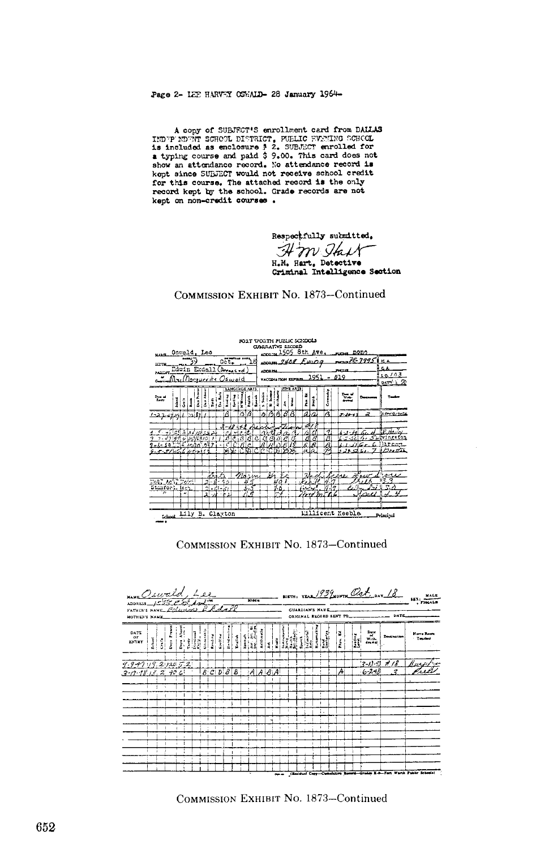Page 2- LEE HARVEY OSWALD- 28 January 1964-

A copy of SUBJECT'S enrollment card from DALLAS<br>IMDEP NDENT SCHOOL DISTRICT, FUELIC EVANING SCHOOL<br>is included as enclosure  $\frac{1}{2}$ . SUBJECT enrolled for<br>a typing course and paid  $\frac{1}{2}$  9.00. This card does not<br>show show an accumulator record of redsing or contract to the school credit for this course. The attached record is the only record kept by the school. Grade records are not kept on non-credit courses.

> Respectfully submitted. H m Ik H.M. Hart, Detective Criminal Intelligence Section

## COMMISSION EXHIBIT No. 1873–Continued

| min Osweld, Leo                                       |                                                                          |   |  |       |                          |  |    |                        |                    |              |                  |         |         |                                                                                                                                           | CUMULATIVE ELCORD |  |    |           | FORT VORTH PUBLIC SCHOOLS |                 | 1505 8th Ave. |                   |  | <b>PATROL</b>          | nono |                                                    |  |
|-------------------------------------------------------|--------------------------------------------------------------------------|---|--|-------|--------------------------|--|----|------------------------|--------------------|--------------|------------------|---------|---------|-------------------------------------------------------------------------------------------------------------------------------------------|-------------------|--|----|-----------|---------------------------|-----------------|---------------|-------------------|--|------------------------|------|----------------------------------------------------|--|
|                                                       | 0.55<br>ιB<br>Many Edwin Erdall (Breaked<br><u>InilDoeguerite Oswald</u> |   |  |       |                          |  |    |                        |                    |              |                  |         |         | $\frac{75.79951 \text{ m}}{6}$<br>www.2408 Eurog<br>S A<br>mens<br><b>ADCAZM</b><br>10/03<br>1951<br>019<br>VACCONATION EXHIBIT<br>DATY 1 |                   |  |    |           |                           |                 |               |                   |  |                        |      |                                                    |  |
| $L_{\rm{eff}}$                                        | i                                                                        | İ |  | å     | å                        |  |    |                        | LANGUAGE ARTS<br>ī | £            | -<br>-<br>-<br>- |         |         | ø                                                                                                                                         |                   |  |    | FINE AREA | Í                         | į               |               | š                 |  | $\frac{1}{2}$<br>ستغمد |      |                                                    |  |
|                                                       |                                                                          |   |  | ∿si£a |                          |  |    | Ά                      |                    | آؤ7          | $\overline{B}$   |         | e.      |                                                                                                                                           | <b>BB</b>         |  | 8B |           |                           | $a\overline{a}$ |               | Ā                 |  | $5.30 - 12$            | 2    | Lowered                                            |  |
| $-4299996910$<br>りっしゃ よのここば ないわのこのみす<br>s sinskusinis | <u>لد دراوړ لول اکثراتو</u>                                              |   |  |       |                          |  | 3  | $\boldsymbol{v}$<br>75 | $-18 +$            |              | B<br>m           | A,<br>c | x<br>79 | $\mathcal{A}$                                                                                                                             | ि टाप्न           |  |    |           | 27<br>a<br>Ŕ<br>ala       | A<br>Ŕ          |               | っ<br>ß<br>A<br>УA |  | $4 - 1 - 10$<br>5.29.  | c.   | P. Havel<br>fvingsto <u>n</u><br>larnar.<br>Butter |  |
| Mot, Ach, Dolel<br>Stanford, IAch<br>,,               |                                                                          | ٠ |  |       | z,<br>$\mathbf{A}^{\pm}$ |  | ŕ, | かっ<br>2151<br>жx       |                    | $m_{\alpha}$ | 국                | نسار    |         | ы                                                                                                                                         | ۰.<br>Ξ.          |  |    |           |                           |                 | rdmTh6        | 7.79              |  | $\cdots$               | ימו  | معمد<br>83.3<br>マネ                                 |  |
| the Lily B. Clayton                                   |                                                                          |   |  |       |                          |  |    |                        |                    |              |                  |         |         |                                                                                                                                           |                   |  |    |           |                           |                 |               |                   |  | Lillicent Keeble       |      | Principal                                          |  |

## COMMISSION EXHIBIT No. 1873-Continued



COMMISSION EXHIBIT NO. 1873-Continued